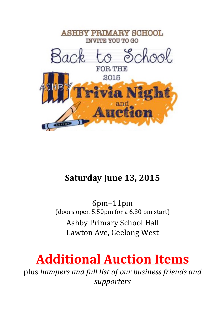

## **Saturday June 13, 2015**

6pm−11pm (doors open  $5.50$ pm for a  $6.30$  pm start) **Ashby Primary School Hall** Lawton Ave, Geelong West

## **Additional Auction Items**

plus hampers and full list of our business friends and *supporters*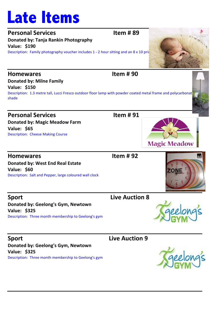# **Late Items**

### **Personal Services Item # 89**

**Donated by: Tanja Rankin Photography Value: \$190** Description: Family photography youcher includes  $1 - 2$  hour sitting and an  $8 \times 10$  print

## Homewares **Let up the UV** Homewares **Let up the UV** Homewares **Let up the UV**  $\sim$  100 **Donated by: Milne Family Value: \$150** Description: 1.3 metre tall, Lucci Fresco outdoor floor lamp with powder coated metal frame and polycarbonat shade **Personal Services Item # 91 Donated by: Magic Meadow Farm Value: \$65**

Description: Cheese Making Course

**Homewares Contract Extending Terms Contract Extending Terms P2 Donated by: West End Real Estate** 

**Value: \$60** Description: Salt and Pepper, large coloured wall clock

**Sport Live Auction 8 Donated by: Geelong's Gym, Newtown Value: \$325** Description: Three month membership to Geelong's gym

### **Sport** Contract Contract Contract Contract Contract Contract Contract Contract Contract Contract Contract Contract Contract Contract Contract Contract Contract Contract Contract Contract Contract Contract Contract Contrac

**Donated by: Geelong's Gym, Newtown Value: \$325** Description: Three month membership to Geelong's gym







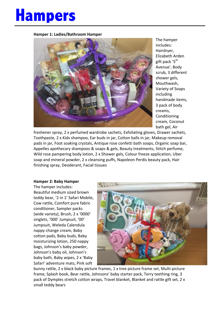## **Hampers**

**Hamper 1: Ladies/Bathroom Hamper**



The hamper includes: Hairdryer, Elizabeth Arden gift pack '5<sup>th</sup> Avenue', Body scrub, 3 different shower gels, Mouthwash, Variety of Soaps including handmade items, 3 pack of body creams, Conditioning cream, Coconut bath gel, Air

freshener spray, 2 x perfumed wardrobe sachets, Exfoliating gloves, Drawer sachets, Toothpaste, 2 x Kids shampoo, Ear buds in jar, Cotton balls in jar, Makeup removal pads in jar, Foot soaking crystals, Antique rose confetti bath soaps, Organic soap bar, Appelles apothecary shampoos & soaps & gels, Beauty treatments, Stitch perfume, Wild rose pampering body lotion,  $2 \times$  Shower gels, Colour freeze application, Uber soap and mineral powder, 2 x cleansing puffs, Napoleon Perdis beauty pack, Hair finishing spray, Deoderant, Facial tissues

#### **Hamper 2: Baby Hamper**

The hamper includes: Beautiful medium sized brown teddy bear, '2 in 1' Safari Mobile, Cow rattle, Comfort pure fabric conditioner, Sampler packs (wide variety), Brush, 2 x '0000' singlets, '000' Jumpsuit, '00' Jumpsuit, Weleda Calendula nappy change cream, Baby cotton pads, Baby buds, Baby moisturizing lotion, 250 nappy bags, Johnson's baby powder, Johnson's baby oil, Johnson's baby bath, Baby wipes, 2 x 'Baby Safari' adventure mats, Pink soft



bunny rattle, 2 x black baby picture frames, 1 x tree picture frame set, Multi-picture frame, Splash book, Bear rattle, Johnsons' baby starter pack, Terry teething ring, 3 pack of Dymples stretch cotton wraps, Travel blanket, Blanket and rattle gift set, 2 x small teddy bears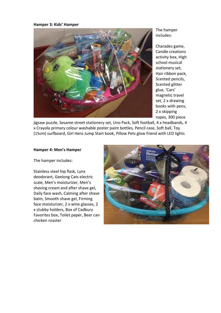#### **Hamper 3: Kids' Hamper**



The hamper includes:

Charades game, Candle creations activity box, High school musical stationery set, Hair ribbon pack, Scented pencils, Scented glitter glue, 'Cars' magnetic travel set, 2 x drawing books with pens, 2 x skipping ropes, 300 piece 

jigsaw puzzle, Sesame street stationery set, Uno Pack, Soft football, 4 x headbands, 4 x Crayola primary colour washable poster paint bottles, Pencil case, Soft ball, Toy (15cm) surfboard, Girl Hero Jump Start book, Pillow Pets glow friend with LED lights

#### **Hamper 4: Men's Hamper**

The hamper includes:

Stainless steel hip flask, Lynx deodorant, Geelong Cats electric scale, Men's moisturizer, Men's shaving cream and after shave gel, Daily face wash, Calming after shave balm, Smooth shave gel, Firming face moisturizer, 2 x wine glasses, 2 x stubby holders, Box of Cadbury Favorites box, Toilet paper, Beer can chicken roaster